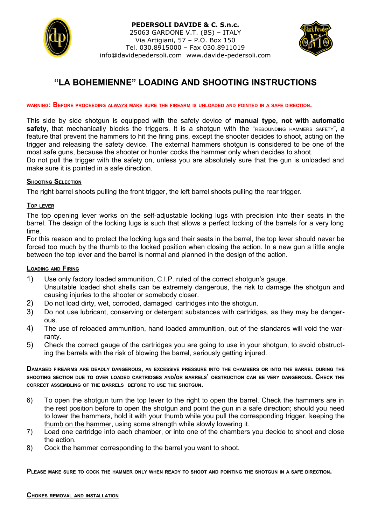

#### **PEDERSOLI DAVIDE & C. S.n.c.** 25063 GARDONE V.T. (BS) – ITALY Via Artigiani, 57 – P.O. Box 150 Tel. 030.8915000 – Fax 030.8911019 info@davidepedersoli.com www.davide-pedersoli.com



# **"LA BOHEMIENNE" LOADING AND SHOOTING INSTRUCTIONS**

#### WARNING: BEFORE PROCEEDING ALWAYS MAKE SURE THE FIREARM IS UNLOADED AND POINTED IN A SAFE DIRECTION.

This side by side shotgun is equipped with the safety device of **manual type, not with automatic safety**, that mechanically blocks the triggers. It is a shotgun with the "REBOUNDING HAMMERS SAFETY", a feature that prevent the hammers to hit the firing pins, except the shooter decides to shoot, acting on the trigger and releasing the safety device. The external hammers shotgun is considered to be one of the most safe guns, because the shooter or hunter cocks the hammer only when decides to shoot. Do not pull the trigger with the safety on, unless you are absolutely sure that the gun is unloaded and

make sure it is pointed in a safe direction.

# **SHOOTING SELECTION**

The right barrel shoots pulling the front trigger, the left barrel shoots pulling the rear trigger.

# **TOP LEVER**

The top opening lever works on the self-adjustable locking lugs with precision into their seats in the barrel. The design of the locking lugs is such that allows a perfect locking of the barrels for a very long time.

For this reason and to protect the locking lugs and their seats in the barrel, the top lever should never be forced too much by the thumb to the locked position when closing the action. In a new gun a little angle between the top lever and the barrel is normal and planned in the design of the action.

# **LOADING AND FIRING**

- 1) Use only factory loaded ammunition, C.I.P. ruled of the correct shotgun's gauge. Unsuitable loaded shot shells can be extremely dangerous, the risk to damage the shotgun and causing injuries to the shooter or somebody closer.
- 2) Do not load dirty, wet, corroded, damaged cartridges into the shotgun.
- 3) Do not use lubricant, conserving or detergent substances with cartridges, as they may be dangerous.
- 4) The use of reloaded ammunition, hand loaded ammunition, out of the standards will void the warranty.
- 5) Check the correct gauge of the cartridges you are going to use in your shotgun, to avoid obstructing the barrels with the risk of blowing the barrel, seriously getting injured.

DAMAGED FIREARMS ARE DEADLY DANGEROUS, AN EXCESSIVE PRESSURE INTO THE CHAMBERS OR INTO THE BARREL DURING THE SHOOTING SECTION DUE TO OVER LOADED CARTRIDGES AND/OR BARRELS' OBSTRUCTION CAN BE VERY DANGEROUS. CHECK THE **CORRECT ASSEMBLING OF THE BARRELS BEFORE TO USE THE SHOTGUN.**

- 6) To open the shotgun turn the top lever to the right to open the barrel. Check the hammers are in the rest position before to open the shotgun and point the gun in a safe direction; should you need to lower the hammers, hold it with your thumb while you pull the corresponding trigger, keeping the thumb on the hammer, using some strength while slowly lowering it.
- 7) Load one cartridge into each chamber, or into one of the chambers you decide to shoot and close the action.
- 8) Cock the hammer corresponding to the barrel you want to shoot.

PLEASE MAKE SURE TO COCK THE HAMMER ONLY WHEN READY TO SHOOT AND POINTING THE SHOTGUN IN A SAFE DIRECTION.